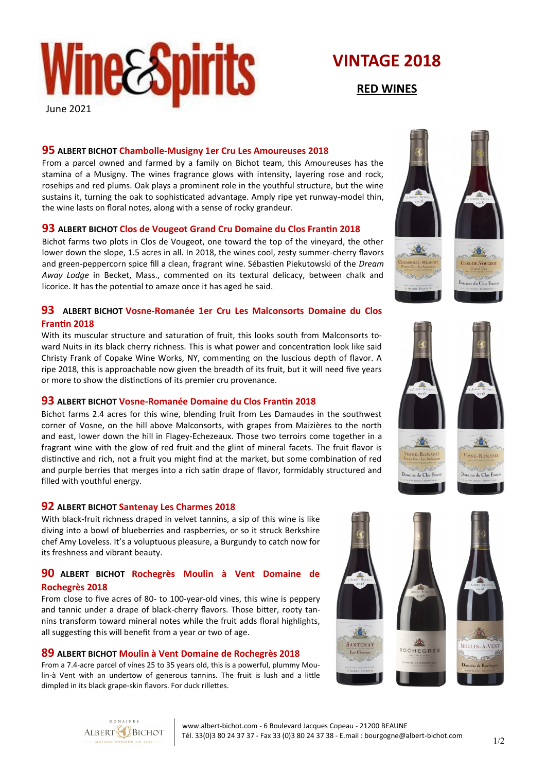

## **VINTAGE 2018**

**RED WINES**

### **95 ALBERT BICHOT Chambolle-Musigny 1er Cru Les Amoureuses 2018**

From a parcel owned and farmed by a family on Bichot team, this Amoureuses has the stamina of a Musigny. The wines fragrance glows with intensity, layering rose and rock, rosehips and red plums. Oak plays a prominent role in the youthful structure, but the wine sustains it, turning the oak to sophisticated advantage. Amply ripe yet runway-model thin, the wine lasts on floral notes, along with a sense of rocky grandeur.

### **93 ALBERT BICHOT Clos de Vougeot Grand Cru Domaine du Clos Frantin 2018**

Bichot farms two plots in Clos de Vougeot, one toward the top of the vineyard, the other lower down the slope, 1.5 acres in all. In 2018, the wines cool, zesty summer-cherry flavors and green-peppercorn spice fill a clean, fragrant wine. Sébastien Piekutowski of the *Dream Away Lodge* in Becket, Mass., commented on its textural delicacy, between chalk and licorice. It has the potential to amaze once it has aged he said.

### **93 ALBERT BICHOT Vosne-Romanée 1er Cru Les Malconsorts Domaine du Clos Frantin 2018**

With its muscular structure and saturation of fruit, this looks south from Malconsorts toward Nuits in its black cherry richness. This is what power and concentration look like said Christy Frank of Copake Wine Works, NY, commenting on the luscious depth of flavor. A ripe 2018, this is approachable now given the breadth of its fruit, but it will need five years or more to show the distinctions of its premier cru provenance.

### **93 ALBERT BICHOT Vosne-Romanée Domaine du Clos Frantin 2018**

Bichot farms 2.4 acres for this wine, blending fruit from Les Damaudes in the southwest corner of Vosne, on the hill above Malconsorts, with grapes from Maizières to the north and east, lower down the hill in Flagey-Echezeaux. Those two terroirs come together in a fragrant wine with the glow of red fruit and the glint of mineral facets. The fruit flavor is distinctive and rich, not a fruit you might find at the market, but some combination of red and purple berries that merges into a rich satin drape of flavor, formidably structured and filled with youthful energy.

### **92 ALBERT BICHOT Santenay Les Charmes 2018**

With black-fruit richness draped in velvet tannins, a sip of this wine is like diving into a bowl of blueberries and raspberries, or so it struck Berkshire chef Amy Loveless. It's a voluptuous pleasure, a Burgundy to catch now for its freshness and vibrant beauty.

### **90 ALBERT BICHOT Rochegrès Moulin à Vent Domaine de Rochegrès 2018**

From close to five acres of 80- to 100-year-old vines, this wine is peppery and tannic under a drape of black-cherry flavors. Those bitter, rooty tannins transform toward mineral notes while the fruit adds floral highlights, all suggesting this will benefit from a year or two of age.

### **89 ALBERT BICHOT Moulin à Vent Domaine de Rochegrès 2018**

From a 7.4-acre parcel of vines 25 to 35 years old, this is a powerful, plummy Moulin-à Vent with an undertow of generous tannins. The fruit is lush and a little dimpled in its black grape-skin flavors. For duck rillettes.